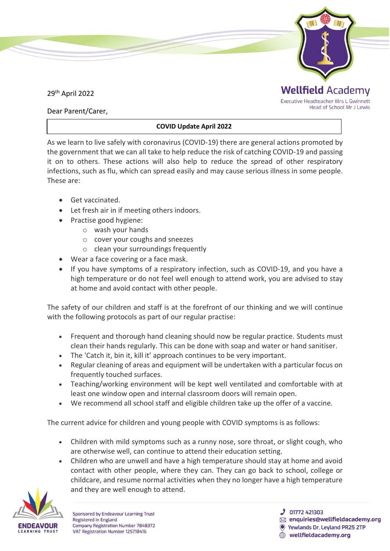

Dear Parent/Carer,

## **COVID Update April 2022**

As we learn to live safely with coronavirus (COVID-19) there are general actions promoted by the government that we can all take to help reduce the risk of catching COVID-19 and passing it on to others. These actions will also help to reduce the spread of other respiratory infections, such as flu, which can spread easily and may cause serious illness in some people. These are:

- Get vaccinated.
- Let fresh air in if meeting others indoors.
- Practise good hygiene:
	- o wash your hands
	- o cover your coughs and sneezes
	- o clean your surroundings frequently
- Wear a face covering or a face mask.
- If you have symptoms of a respiratory infection, such as COVID-19, and you have a high temperature or do not feel well enough to attend work, you are advised to stay at home and avoid contact with other people.

The safety of our children and staff is at the forefront of our thinking and we will continue with the following protocols as part of our regular practise:

- Frequent and thorough hand cleaning should now be regular practice. Students must clean their hands regularly. This can be done with soap and water or hand sanitiser.
- The 'Catch it, bin it, kill it' approach continues to be very important.
- Regular cleaning of areas and equipment will be undertaken with a particular focus on frequently touched surfaces.
- Teaching/working environment will be kept well ventilated and comfortable with at least one window open and internal classroom doors will remain open.
- We recommend all school staff and eligible children take up the offer of a vaccine.

The current advice for children and young people with COVID symptoms is as follows:

- Children with mild symptoms such as a runny nose, sore throat, or slight cough, who are otherwise well, can continue to attend their education setting.
- Children who are unwell and have a high temperature should stay at home and avoid contact with other people, where they can. They can go back to school, college or childcare, and resume normal activities when they no longer have a high temperature and they are well enough to attend.



**Sponsored by Endeavour Learning Trust Registered in England** Company Registration Number 7848372 VAT Registration Number 125718416

**J** 01772 421303

- $\boxtimes$  enquiries@wellfieldacademy.org
- Vewlands Dr. Leyland PR25 2TP wellfieldacademy.org